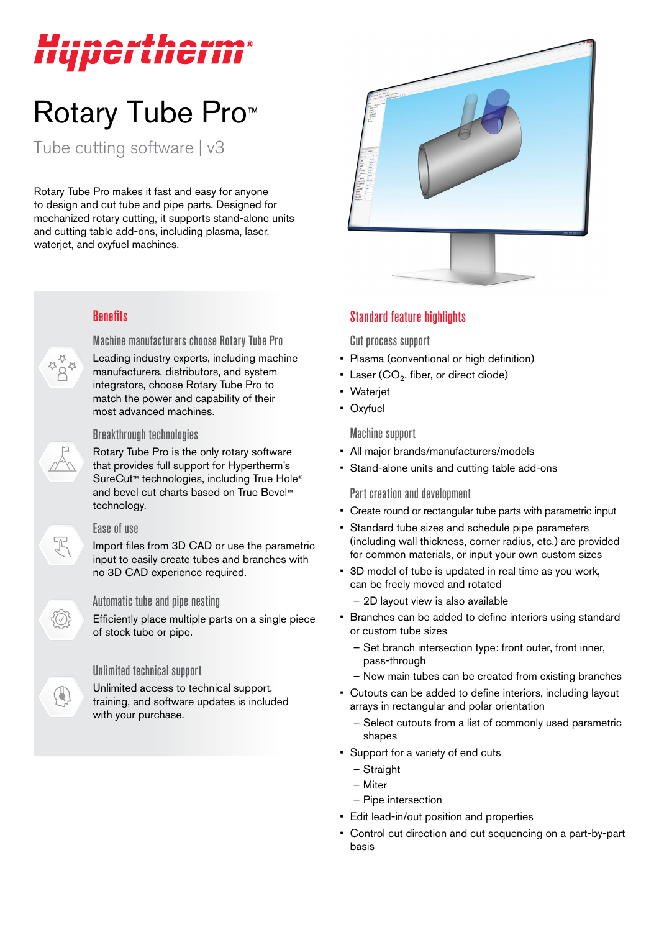# yperthe

# Rotary Tube Pro<sup>™</sup>

Tube cutting software | v3

Rotary Tube Pro makes it fast and easy for anyone to design and cut tube and pipe parts. Designed for mechanized rotary cutting, it supports stand-alone units and cutting table add-ons, including plasma, laser, waterjet, and oxyfuel machines.

# **Benefits**

Machine manufacturers choose Rotary Tube Pro

Leading industry experts, including machine manufacturers, distributors, and system integrators, choose Rotary Tube Pro to match the power and capability of their most advanced machines.

# Breakthrough technologies

Rotary Tube Pro is the only rotary software that provides full support for Hypertherm's SureCut<sup>™</sup> technologies, including True Hole<sup>®</sup> and bevel cut charts based on True Bevel™ technology.

# Ease of use

4

Import files from 3D CAD or use the parametric input to easily create tubes and branches with no 3D CAD experience required.

Automatic tube and pipe nesting

Efficiently place multiple parts on a single piece of stock tube or pipe.

# Unlimited technical support

Unlimited access to technical support, training, and software updates is included with your purchase.



# Standard feature highlights

Cut process support

- Plasma (conventional or high definition)
- Laser  $(CO<sub>2</sub>)$ , fiber, or direct diode)
- Waterjet
- Oxyfuel

Machine support

- All major brands/manufacturers/models
- Stand-alone units and cutting table add-ons

# Part creation and development

- Create round or rectangular tube parts with parametric input
- Standard tube sizes and schedule pipe parameters (including wall thickness, corner radius, etc.) are provided for common materials, or input your own custom sizes
- 3D model of tube is updated in real time as you work, can be freely moved and rotated

– 2D layout view is also available

- Branches can be added to define interiors using standard or custom tube sizes
	- Set branch intersection type: front outer, front inner, pass-through
	- New main tubes can be created from existing branches
- Cutouts can be added to define interiors, including layout arrays in rectangular and polar orientation
	- Select cutouts from a list of commonly used parametric shapes
- Support for a variety of end cuts
	- Straight
	- Miter
	- Pipe intersection
- Edit lead-in/out position and properties
- Control cut direction and cut sequencing on a part-by-part basis